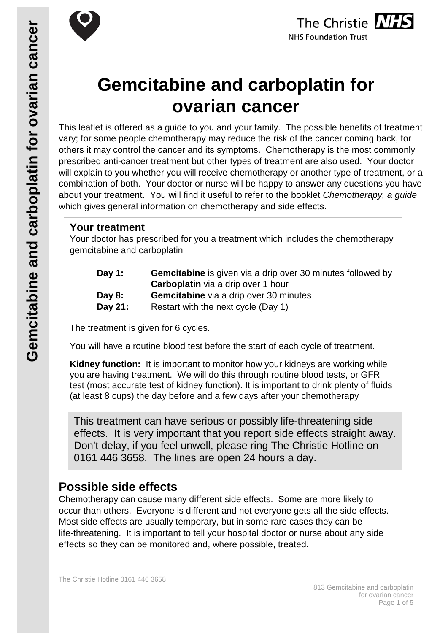



# **Gemcitabine and carboplatin for ovarian cancer**

This leaflet is offered as a guide to you and your family. The possible benefits of treatment vary; for some people chemotherapy may reduce the risk of the cancer coming back, for others it may control the cancer and its symptoms. Chemotherapy is the most commonly prescribed anti-cancer treatment but other types of treatment are also used. Your doctor will explain to you whether you will receive chemotherapy or another type of treatment, or a combination of both. Your doctor or nurse will be happy to answer any questions you have about your treatment. You will find it useful to refer to the booklet *Chemotherapy, a guide* which gives general information on chemotherapy and side effects.

# **Your treatment**

Your doctor has prescribed for you a treatment which includes the chemotherapy gemcitabine and carboplatin

| Day 1:   | <b>Gemcitabine</b> is given via a drip over 30 minutes followed by |
|----------|--------------------------------------------------------------------|
|          | <b>Carboplatin</b> via a drip over 1 hour                          |
| Day $8:$ | <b>Gemcitabine</b> via a drip over 30 minutes                      |
| Day 21:  | Restart with the next cycle (Day 1)                                |

The treatment is given for 6 cycles.

You will have a routine blood test before the start of each cycle of treatment.

**Kidney function:** It is important to monitor how your kidneys are working while you are having treatment. We will do this through routine blood tests, or GFR test (most accurate test of kidney function). It is important to drink plenty of fluids (at least 8 cups) the day before and a few days after your chemotherapy

This treatment can have serious or possibly life-threatening side effects. It is very important that you report side effects straight away. Don't delay, if you feel unwell, please ring The Christie Hotline on 0161 446 3658. The lines are open 24 hours a day.

# **Possible side effects**

Chemotherapy can cause many different side effects. Some are more likely to occur than others. Everyone is different and not everyone gets all the side effects. Most side effects are usually temporary, but in some rare cases they can be life-threatening. It is important to tell your hospital doctor or nurse about any side effects so they can be monitored and, where possible, treated.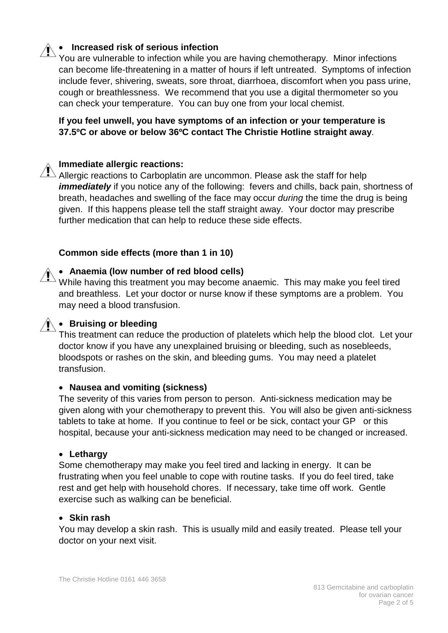# • **Increased risk of serious infection**

You are vulnerable to infection while you are having chemotherapy. Minor infections can become life-threatening in a matter of hours if left untreated. Symptoms of infection include fever, shivering, sweats, sore throat, diarrhoea, discomfort when you pass urine, cough or breathlessness. We recommend that you use a digital thermometer so you can check your temperature. You can buy one from your local chemist.

**If you feel unwell, you have symptoms of an infection or your temperature is 37.5ºC or above or below 36ºC contact The Christie Hotline straight away**.

#### **Immediate allergic reactions:**

Allergic reactions to Carboplatin are uncommon. Please ask the staff for help *immediately* if you notice any of the following: fevers and chills, back pain, shortness of breath, headaches and swelling of the face may occur *during* the time the drug is being given. If this happens please tell the staff straight away. Your doctor may prescribe further medication that can help to reduce these side effects.

#### **Common side effects (more than 1 in 10)**

#### • **Anaemia (low number of red blood cells)**

While having this treatment you may become anaemic. This may make you feel tired and breathless. Let your doctor or nurse know if these symptoms are a problem. You may need a blood transfusion.

#### • **Bruising or bleeding**

This treatment can reduce the production of platelets which help the blood clot. Let your doctor know if you have any unexplained bruising or bleeding, such as nosebleeds, bloodspots or rashes on the skin, and bleeding gums. You may need a platelet transfusion.

#### • **Nausea and vomiting (sickness)**

The severity of this varies from person to person. Anti-sickness medication may be given along with your chemotherapy to prevent this. You will also be given anti-sickness tablets to take at home. If you continue to feel or be sick, contact your GP or this hospital, because your anti-sickness medication may need to be changed or increased.

#### • **Lethargy**

Some chemotherapy may make you feel tired and lacking in energy. It can be frustrating when you feel unable to cope with routine tasks. If you do feel tired, take rest and get help with household chores. If necessary, take time off work. Gentle exercise such as walking can be beneficial.

#### • **Skin rash**

You may develop a skin rash. This is usually mild and easily treated. Please tell your doctor on your next visit.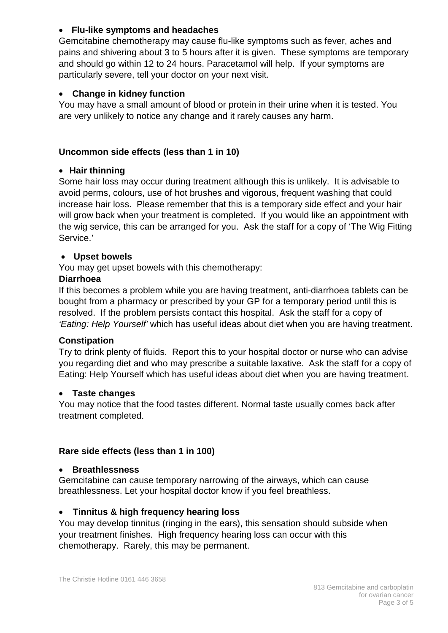## • **Flu-like symptoms and headaches**

Gemcitabine chemotherapy may cause flu-like symptoms such as fever, aches and pains and shivering about 3 to 5 hours after it is given. These symptoms are temporary and should go within 12 to 24 hours. Paracetamol will help. If your symptoms are particularly severe, tell your doctor on your next visit.

## • **Change in kidney function**

You may have a small amount of blood or protein in their urine when it is tested. You are very unlikely to notice any change and it rarely causes any harm.

# **Uncommon side effects (less than 1 in 10)**

## • **Hair thinning**

Some hair loss may occur during treatment although this is unlikely. It is advisable to avoid perms, colours, use of hot brushes and vigorous, frequent washing that could increase hair loss. Please remember that this is a temporary side effect and your hair will grow back when your treatment is completed. If you would like an appointment with the wig service, this can be arranged for you. Ask the staff for a copy of 'The Wig Fitting Service.'

## • **Upset bowels**

You may get upset bowels with this chemotherapy:

## **Diarrhoea**

If this becomes a problem while you are having treatment, anti-diarrhoea tablets can be bought from a pharmacy or prescribed by your GP for a temporary period until this is resolved. If the problem persists contact this hospital. Ask the staff for a copy of *'Eating: Help Yourself'* which has useful ideas about diet when you are having treatment.

## **Constipation**

Try to drink plenty of fluids. Report this to your hospital doctor or nurse who can advise you regarding diet and who may prescribe a suitable laxative. Ask the staff for a copy of Eating: Help Yourself which has useful ideas about diet when you are having treatment.

## • **Taste changes**

You may notice that the food tastes different. Normal taste usually comes back after treatment completed.

## **Rare side effects (less than 1 in 100)**

## • **Breathlessness**

Gemcitabine can cause temporary narrowing of the airways, which can cause breathlessness. Let your hospital doctor know if you feel breathless.

## • **Tinnitus & high frequency hearing loss**

You may develop tinnitus (ringing in the ears), this sensation should subside when your treatment finishes. High frequency hearing loss can occur with this chemotherapy. Rarely, this may be permanent.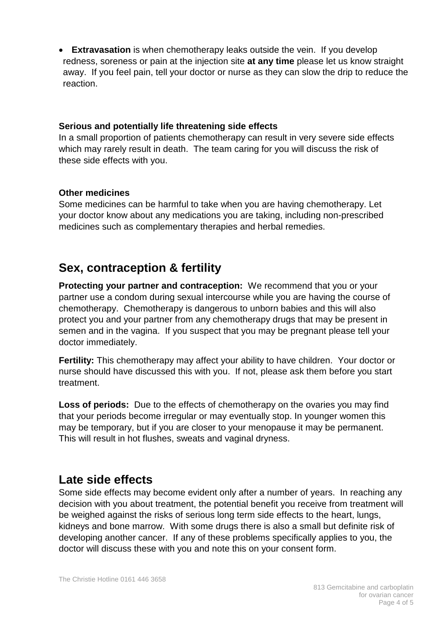• **Extravasation** is when chemotherapy leaks outside the vein. If you develop redness, soreness or pain at the injection site **at any time** please let us know straight away. If you feel pain, tell your doctor or nurse as they can slow the drip to reduce the reaction.

#### **Serious and potentially life threatening side effects**

In a small proportion of patients chemotherapy can result in very severe side effects which may rarely result in death. The team caring for you will discuss the risk of these side effects with you.

## **Other medicines**

Some medicines can be harmful to take when you are having chemotherapy. Let your doctor know about any medications you are taking, including non-prescribed medicines such as complementary therapies and herbal remedies.

# **Sex, contraception & fertility**

**Protecting your partner and contraception:** We recommend that you or your partner use a condom during sexual intercourse while you are having the course of chemotherapy. Chemotherapy is dangerous to unborn babies and this will also protect you and your partner from any chemotherapy drugs that may be present in semen and in the vagina. If you suspect that you may be pregnant please tell your doctor immediately.

**Fertility:** This chemotherapy may affect your ability to have children. Your doctor or nurse should have discussed this with you. If not, please ask them before you start treatment.

**Loss of periods:** Due to the effects of chemotherapy on the ovaries you may find that your periods become irregular or may eventually stop. In younger women this may be temporary, but if you are closer to your menopause it may be permanent. This will result in hot flushes, sweats and vaginal dryness.

# **Late side effects**

Some side effects may become evident only after a number of years. In reaching any decision with you about treatment, the potential benefit you receive from treatment will be weighed against the risks of serious long term side effects to the heart, lungs, kidneys and bone marrow. With some drugs there is also a small but definite risk of developing another cancer. If any of these problems specifically applies to you, the doctor will discuss these with you and note this on your consent form.